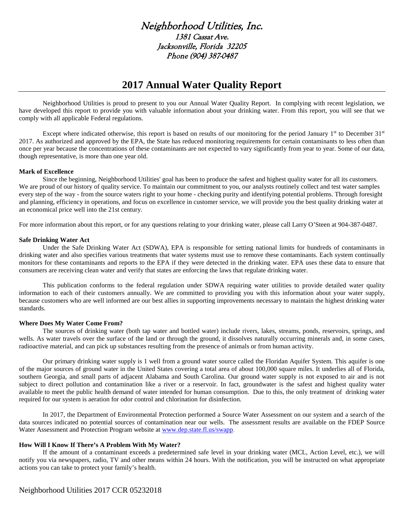# Neighborhood Utilities, Inc. 1381 Cassat Ave. Jacksonville, Florida 32205 Phone (904) 387-0487

# **2017 Annual Water Quality Report**

Neighborhood Utilities is proud to present to you our Annual Water Quality Report. In complying with recent legislation, we have developed this report to provide you with valuable information about your drinking water. From this report, you will see that we comply with all applicable Federal regulations.

Except where indicated otherwise, this report is based on results of our monitoring for the period January 1st to December 31st 2017. As authorized and approved by the EPA, the State has reduced monitoring requirements for certain contaminants to less often than once per year because the concentrations of these contaminants are not expected to vary significantly from year to year. Some of our data, though representative, is more than one year old.

#### **Mark of Excellence**

Since the beginning, Neighborhood Utilities' goal has been to produce the safest and highest quality water for all its customers. We are proud of our history of quality service. To maintain our commitment to you, our analysts routinely collect and test water samples every step of the way - from the source waters right to your home - checking purity and identifying potential problems. Through foresight and planning, efficiency in operations, and focus on excellence in customer service, we will provide you the best quality drinking water at an economical price well into the 21st century.

For more information about this report, or for any questions relating to your drinking water, please call Larry O'Steen at 904-387-0487.

#### **Safe Drinking Water Act**

Under the Safe Drinking Water Act (SDWA), EPA is responsible for setting national limits for hundreds of contaminants in drinking water and also specifies various treatments that water systems must use to remove these contaminants. Each system continually monitors for these contaminants and reports to the EPA if they were detected in the drinking water. EPA uses these data to ensure that consumers are receiving clean water and verify that states are enforcing the laws that regulate drinking water.

This publication conforms to the federal regulation under SDWA requiring water utilities to provide detailed water quality information to each of their customers annually. We are committed to providing you with this information about your water supply, because customers who are well informed are our best allies in supporting improvements necessary to maintain the highest drinking water standards.

#### **Where Does My Water Come From?**

The sources of drinking water (both tap water and bottled water) include rivers, lakes, streams, ponds, reservoirs, springs, and wells. As water travels over the surface of the land or through the ground, it dissolves naturally occurring minerals and, in some cases, radioactive material, and can pick up substances resulting from the presence of animals or from human activity.

Our primary drinking water supply is 1 well from a ground water source called the Floridan Aquifer System. This aquifer is one of the major sources of ground water in the United States covering a total area of about 100,000 square miles. It underlies all of Florida, southern Georgia, and small parts of adjacent Alabama and South Carolina. Our ground water supply is not exposed to air and is not subject to direct pollution and contamination like a river or a reservoir. In fact, groundwater is the safest and highest quality water available to meet the public health demand of water intended for human consumption. Due to this, the only treatment of drinking water required for our system is aeration for odor control and chlorination for disinfection.

In 2017, the Department of Environmental Protection performed a Source Water Assessment on our system and a search of the data sources indicated no potential sources of contamination near our wells. The assessment results are available on the FDEP Source Water Assessment and Protection Program website at [www.dep.state.fl.us/swapp.](http://www.dep.state.fl.us/swapp)

#### **How Will I Know If There's A Problem With My Water?**

If the amount of a contaminant exceeds a predetermined safe level in your drinking water (MCL, Action Level, etc.), we will notify you via newspapers, radio, TV and other means within 24 hours. With the notification, you will be instructed on what appropriate actions you can take to protect your family's health.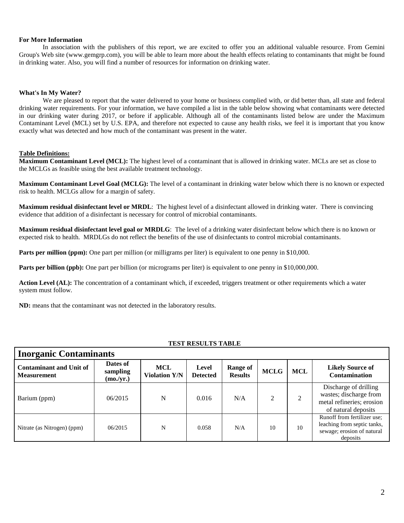#### **For More Information**

In association with the publishers of this report, we are excited to offer you an additional valuable resource. From Gemini Group's Web site (www.gemgrp.com), you will be able to learn more about the health effects relating to contaminants that might be found in drinking water. Also, you will find a number of resources for information on drinking water.

## **What's In My Water?**

We are pleased to report that the water delivered to your home or business complied with, or did better than, all state and federal drinking water requirements. For your information, we have compiled a list in the table below showing what contaminants were detected in our drinking water during 2017, or before if applicable. Although all of the contaminants listed below are under the Maximum Contaminant Level (MCL) set by U.S. EPA, and therefore not expected to cause any health risks, we feel it is important that you know exactly what was detected and how much of the contaminant was present in the water.

## **Table Definitions:**

**Maximum Contaminant Level (MCL):** The highest level of a contaminant that is allowed in drinking water. MCLs are set as close to the MCLGs as feasible using the best available treatment technology.

**Maximum Contaminant Level Goal (MCLG):** The level of a contaminant in drinking water below which there is no known or expected risk to health. MCLGs allow for a margin of safety.

**Maximum residual disinfectant level or MRDL**: The highest level of a disinfectant allowed in drinking water. There is convincing evidence that addition of a disinfectant is necessary for control of microbial contaminants.

**Maximum residual disinfectant level goal or MRDLG**: The level of a drinking water disinfectant below which there is no known or expected risk to health. MRDLGs do not reflect the benefits of the use of disinfectants to control microbial contaminants.

**Parts per million (ppm):** One part per million (or milligrams per liter) is equivalent to one penny in \$10,000.

**Parts per billion (ppb):** One part per billion (or micrograms per liter) is equivalent to one penny in \$10,000,000.

**Action Level (AL):** The concentration of a contaminant which, if exceeded, triggers treatment or other requirements which a water system must follow.

**ND:** means that the contaminant was not detected in the laboratory results.

#### **TEST RESULTS TABLE**

| <b>Inorganic Contaminants</b>                        |                                   |                             |                          |                            |             |            |                                                                                                      |  |  |
|------------------------------------------------------|-----------------------------------|-----------------------------|--------------------------|----------------------------|-------------|------------|------------------------------------------------------------------------------------------------------|--|--|
| <b>Contaminant and Unit of</b><br><b>Measurement</b> | Dates of<br>sampling<br>(mo./yr.) | MCL<br><b>Violation Y/N</b> | Level<br><b>Detected</b> | Range of<br><b>Results</b> | <b>MCLG</b> | <b>MCL</b> | <b>Likely Source of</b><br>Contamination                                                             |  |  |
| Barium (ppm)                                         | 06/2015                           | N                           | 0.016                    | N/A                        | ↑           | 2          | Discharge of drilling<br>wastes; discharge from<br>metal refineries; erosion<br>of natural deposits  |  |  |
| Nitrate (as Nitrogen) (ppm)                          | 06/2015                           | N                           | 0.058                    | N/A                        | 10          | 10         | Runoff from fertilizer use;<br>leaching from septic tanks,<br>sewage; erosion of natural<br>deposits |  |  |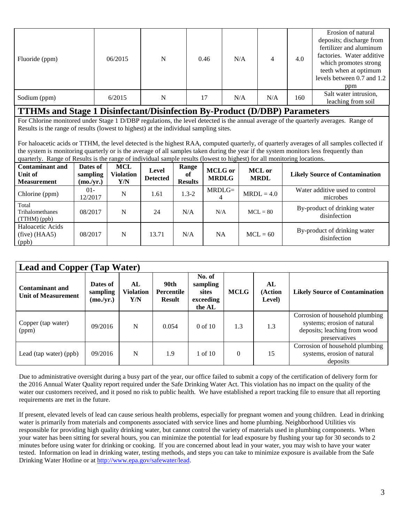| Fluoride (ppm) | 06/2015 | N | 0.46 | N/A |     | 4.0 | Erosion of natural<br>deposits; discharge from<br>fertilizer and aluminum<br>factories. Water additive<br>which promotes strong<br>teeth when at optimum<br>levels between 0.7 and 1.2<br>ppm |
|----------------|---------|---|------|-----|-----|-----|-----------------------------------------------------------------------------------------------------------------------------------------------------------------------------------------------|
| Sodium (ppm)   | 6/2015  | N | 17   | N/A | N/A | 160 | Salt water intrusion,<br>leaching from soil                                                                                                                                                   |

## **TTHMs and Stage 1 Disinfectant/Disinfection By-Product (D/DBP) Parameters**

For Chlorine monitored under Stage 1 D/DBP regulations, the level detected is the annual average of the quarterly averages. Range of Results is the range of results (lowest to highest) at the individual sampling sites.

For haloacetic acids or TTHM, the level detected is the highest RAA, computed quarterly, of quarterly averages of all samples collected if the system is monitoring quarterly or is the average of all samples taken during the year if the system monitors less frequently than quarterly. Range of Results is the range of individual sample results (lowest to highest) for all monitoring locations.

| <b>Contaminant and</b><br>Unit of<br><b>Measurement</b> | Dates of<br>sampling<br>(mo./yr.) | MCL<br>Violation<br>Y/N | Level<br><b>Detected</b> | Range<br>of<br><b>Results</b> | <b>MCLG</b> or<br><b>MRDLG</b> | <b>MCL</b> or<br><b>MRDL</b> | <b>Likely Source of Contamination</b>        |
|---------------------------------------------------------|-----------------------------------|-------------------------|--------------------------|-------------------------------|--------------------------------|------------------------------|----------------------------------------------|
| Chlorine (ppm)                                          | $01 -$<br>12/2017                 | N                       | 1.61                     | $1.3 - 2$                     | $MRDLG=$                       | $MRDL = 4.0$                 | Water additive used to control<br>microbes   |
| Total<br>Trihalomethanes<br>(TTHM)(ppb)                 | 08/2017                           | N                       | 24                       | N/A                           | N/A                            | $MCL = 80$                   | By-product of drinking water<br>disinfection |
| Haloacetic Acids<br>$(five)$ (HAA5)<br>(ppb)            | 08/2017                           | N                       | 13.71                    | N/A                           | NA                             | $MCL = 60$                   | By-product of drinking water<br>disinfection |

| <b>Lead and Copper (Tap Water)</b>                   |                                   |                               |                                            |                                                           |             |                         |                                                                                                                 |  |  |
|------------------------------------------------------|-----------------------------------|-------------------------------|--------------------------------------------|-----------------------------------------------------------|-------------|-------------------------|-----------------------------------------------------------------------------------------------------------------|--|--|
| <b>Contaminant and</b><br><b>Unit of Measurement</b> | Dates of<br>sampling<br>(mo./yr.) | AL<br><b>Violation</b><br>Y/N | 90th<br><b>Percentile</b><br><b>Result</b> | No. of<br>sampling<br><b>sites</b><br>exceeding<br>the AL | <b>MCLG</b> | AL<br>(Action<br>Level) | <b>Likely Source of Contamination</b>                                                                           |  |  |
| Copper (tap water)<br>(ppm)                          | 09/2016                           | N                             | 0.054                                      | $0$ of 10                                                 | 1.3         | 1.3                     | Corrosion of household plumbing<br>systems; erosion of natural<br>deposits; leaching from wood<br>preservatives |  |  |
| Lead (tap water) (ppb)                               | 09/2016                           | N                             | 1.9                                        | $1 \text{ of } 10$                                        | $\theta$    | 15                      | Corrosion of household plumbing<br>systems, erosion of natural<br>deposits                                      |  |  |

Due to administrative oversight during a busy part of the year, our office failed to submit a copy of the certification of delivery form for the 2016 Annual Water Quality report required under the Safe Drinking Water Act. This violation has no impact on the quality of the water our customers received, and it posed no risk to public health. We have established a report tracking file to ensure that all reporting requirements are met in the future.

If present, elevated levels of lead can cause serious health problems, especially for pregnant women and young children. Lead in drinking water is primarily from materials and components associated with service lines and home plumbing. Neighborhood Utilities vis responsible for providing high quality drinking water, but cannot control the variety of materials used in plumbing components. When your water has been sitting for several hours, you can minimize the potential for lead exposure by flushing your tap for 30 seconds to 2 minutes before using water for drinking or cooking. If you are concerned about lead in your water, you may wish to have your water tested. Information on lead in drinking water, testing methods, and steps you can take to minimize exposure is available from the Safe Drinking Water Hotline or at [http://www.epa.gov/safewater/lead.](http://www.epa.gov/safewater/lead)